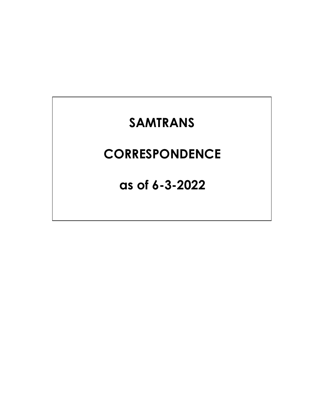## **SAMTRANS**

## **CORRESPONDENCE**

**as of 6-3-2022**